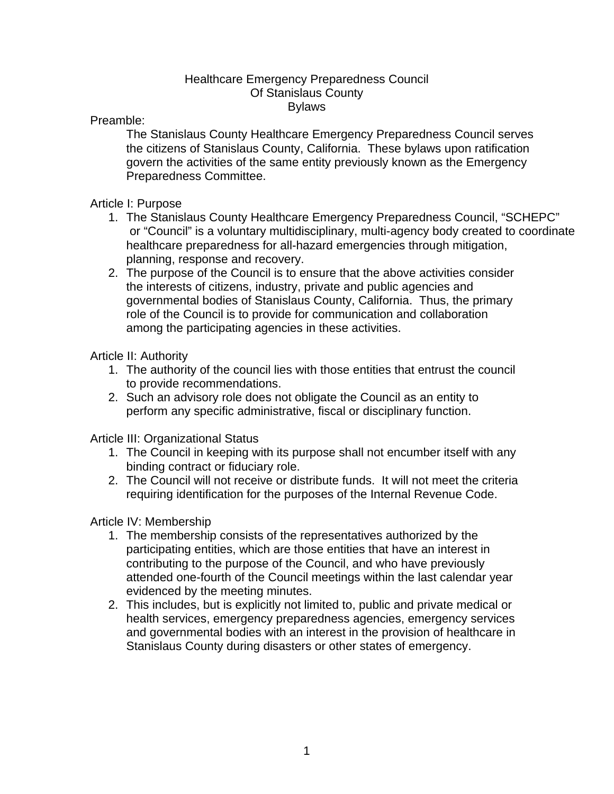## Healthcare Emergency Preparedness Council Of Stanislaus County Bylaws

Preamble:

The Stanislaus County Healthcare Emergency Preparedness Council serves the citizens of Stanislaus County, California. These bylaws upon ratification govern the activities of the same entity previously known as the Emergency Preparedness Committee.

Article I: Purpose

- 1. The Stanislaus County Healthcare Emergency Preparedness Council, "SCHEPC" or "Council" is a voluntary multidisciplinary, multi-agency body created to coordinate healthcare preparedness for all-hazard emergencies through mitigation, planning, response and recovery.
- 2. The purpose of the Council is to ensure that the above activities consider the interests of citizens, industry, private and public agencies and governmental bodies of Stanislaus County, California. Thus, the primary role of the Council is to provide for communication and collaboration among the participating agencies in these activities.

Article II: Authority

- 1. The authority of the council lies with those entities that entrust the council to provide recommendations.
- 2. Such an advisory role does not obligate the Council as an entity to perform any specific administrative, fiscal or disciplinary function.

Article III: Organizational Status

- 1. The Council in keeping with its purpose shall not encumber itself with any binding contract or fiduciary role.
- 2. The Council will not receive or distribute funds. It will not meet the criteria requiring identification for the purposes of the Internal Revenue Code.

## Article IV: Membership

- 1. The membership consists of the representatives authorized by the participating entities, which are those entities that have an interest in contributing to the purpose of the Council, and who have previously attended one-fourth of the Council meetings within the last calendar year evidenced by the meeting minutes.
- 2. This includes, but is explicitly not limited to, public and private medical or health services, emergency preparedness agencies, emergency services and governmental bodies with an interest in the provision of healthcare in Stanislaus County during disasters or other states of emergency.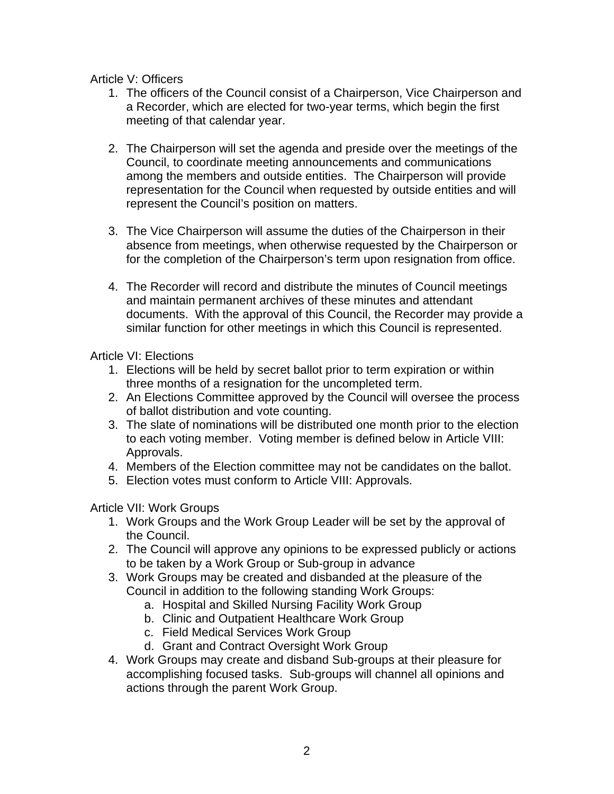Article V: Officers

- 1. The officers of the Council consist of a Chairperson, Vice Chairperson and a Recorder, which are elected for two-year terms, which begin the first meeting of that calendar year.
- 2. The Chairperson will set the agenda and preside over the meetings of the Council, to coordinate meeting announcements and communications among the members and outside entities. The Chairperson will provide representation for the Council when requested by outside entities and will represent the Council's position on matters.
- 3. The Vice Chairperson will assume the duties of the Chairperson in their absence from meetings, when otherwise requested by the Chairperson or for the completion of the Chairperson's term upon resignation from office.
- 4. The Recorder will record and distribute the minutes of Council meetings and maintain permanent archives of these minutes and attendant documents. With the approval of this Council, the Recorder may provide a similar function for other meetings in which this Council is represented.

Article VI: Elections

- 1. Elections will be held by secret ballot prior to term expiration or within three months of a resignation for the uncompleted term.
- 2. An Elections Committee approved by the Council will oversee the process of ballot distribution and vote counting.
- 3. The slate of nominations will be distributed one month prior to the election to each voting member. Voting member is defined below in Article VIII: Approvals.
- 4. Members of the Election committee may not be candidates on the ballot.
- 5. Election votes must conform to Article VIII: Approvals.

Article VII: Work Groups

- 1. Work Groups and the Work Group Leader will be set by the approval of the Council.
- 2. The Council will approve any opinions to be expressed publicly or actions to be taken by a Work Group or Sub-group in advance
- 3. Work Groups may be created and disbanded at the pleasure of the Council in addition to the following standing Work Groups:
	- a. Hospital and Skilled Nursing Facility Work Group
	- b. Clinic and Outpatient Healthcare Work Group
	- c. Field Medical Services Work Group
	- d. Grant and Contract Oversight Work Group
- 4. Work Groups may create and disband Sub-groups at their pleasure for accomplishing focused tasks. Sub-groups will channel all opinions and actions through the parent Work Group.